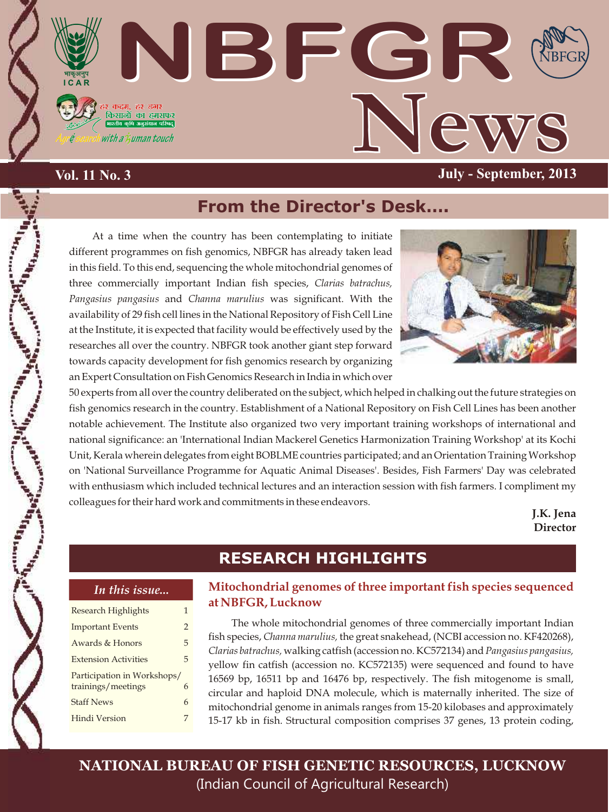

## **Vol. 11 No. 3**

# **From the Director's Desk….**

At a time when the country has been contemplating to initiate different programmes on fish genomics, NBFGR has already taken lead in this field. To this end, sequencing the whole mitochondrial genomes of three commercially important Indian fish species, *Clarias batrachus, Pangasius pangasius* and *Channa marulius* was significant. With the availability of 29 fish cell lines in the National Repository of Fish Cell Line at the Institute, it is expected that facility would be effectively used by the researches all over the country. NBFGR took another giant step forward towards capacity development for fish genomics research by organizing an Expert Consultation on Fish Genomics Research in India in which over



50 experts from all over the country deliberated on the subject, which helped in chalking out the future strategies on fish genomics research in the country. Establishment of a National Repository on Fish Cell Lines has been another notable achievement. The Institute also organized two very important training workshops of international and national significance: an 'International Indian Mackerel Genetics Harmonization Training Workshop' at its Kochi Unit, Kerala wherein delegates from eight BOBLME countries participated; and an Orientation Training Workshop on 'National Surveillance Programme for Aquatic Animal Diseases'. Besides, Fish Farmers' Day was celebrated with enthusiasm which included technical lectures and an interaction session with fish farmers. I compliment my colleagues for their hard work and commitments in these endeavors.

> **J.K. Jena Director**

## **RESEARCH HIGHLIGHTS**

#### *In this issue...*

| <b>Research Highlights</b>                        | 1             |
|---------------------------------------------------|---------------|
| <b>Important Events</b>                           | $\mathcal{P}$ |
| Awards & Honors                                   | 5             |
| <b>Extension Activities</b>                       | 5             |
| Participation in Workshops/<br>trainings/meetings | 6             |
| <b>Staff News</b>                                 | 6             |
| Hindi Version                                     |               |

### **Mitochondrial genomes of three important fish species sequenced at NBFGR, Lucknow**

The whole mitochondrial genomes of three commercially important Indian fish species, *Channa marulius,* the great snakehead, (NCBI accession no. KF420268), *Clarias batrachus,* walking catfish (accession no. KC572134) and *Pangasius pangasius,*  yellow fin catfish (accession no. KC572135) were sequenced and found to have 16569 bp, 16511 bp and 16476 bp, respectively. The fish mitogenome is small, circular and haploid DNA molecule, which is maternally inherited. The size of mitochondrial genome in animals ranges from 15-20 kilobases and approximately 15-17 kb in fish. Structural composition comprises 37 genes, 13 protein coding,

**NATIONAL BUREAU OF FISH GENETIC RESOURCES, LUCKNOW** (Indian Council of Agricultural Research)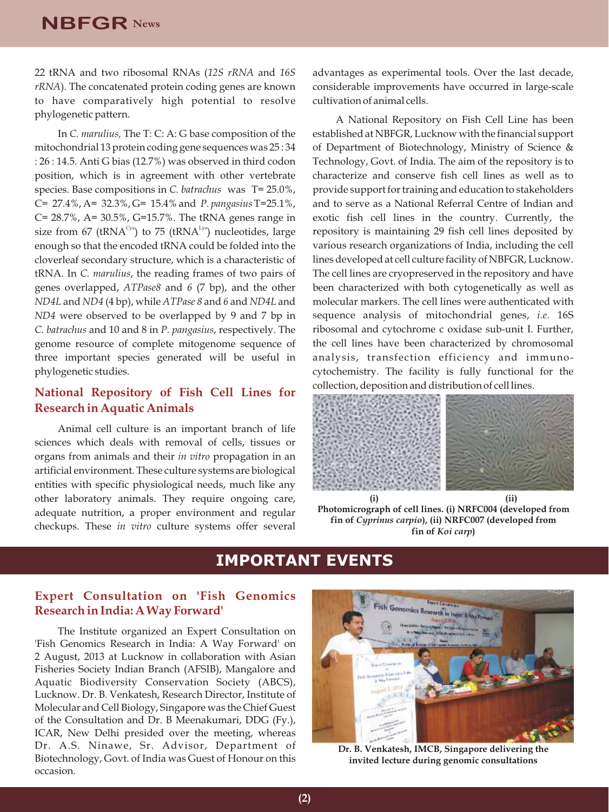22 tRNA and two ribosomal RNAs (*12S rRNA* and *16S rRNA*). The concatenated protein coding genes are known to have comparatively high potential to resolve phylogenetic pattern.

In *C. marulius,* The T: C: A: G base composition of the mitochondrial 13 protein coding gene sequences was 25 : 34 : 26 : 14.5. Anti G bias (12.7%) was observed in third codon position, which is in agreement with other vertebrate species. Base compositions in *C. batrachus* was T= 25.0%, C= 27.4%, A= 32.3%, G= 15.4% and *P. pangasius* T=25.1%, C= 28.7%, A= 30.5%, G=15.7%. The tRNA genes range in size from 67 (tRNA<sup>Cys</sup>) to 75 (tRNA<sup>Lys</sup>) nucleotides, large enough so that the encoded tRNA could be folded into the cloverleaf secondary structure, which is a characteristic of tRNA. In *C. marulius*, the reading frames of two pairs of genes overlapped, *ATPase8* and *6* (7 bp), and the other *ND4L*and *ND4* (4 bp), while *ATPase 8* and *6* and *ND4L*and *ND4* were observed to be overlapped by 9 and 7 bp in *C. batrachus* and 10 and 8 in *P. pangasius*, respectively. The genome resource of complete mitogenome sequence of three important species generated will be useful in phylogenetic studies.

### **National Repository of Fish Cell Lines for Research in Aquatic Animals**

Animal cell culture is an important branch of life sciences which deals with removal of cells, tissues or organs from animals and their *in vitro* propagation in an artificial environment. These culture systems are biological entities with specific physiological needs, much like any other laboratory animals. They require ongoing care, adequate nutrition, a proper environment and regular checkups. These *in vitro* culture systems offer several advantages as experimental tools. Over the last decade, considerable improvements have occurred in large-scale cultivation of animal cells.

A National Repository on Fish Cell Line has been established at NBFGR, Lucknow with the financial support of Department of Biotechnology, Ministry of Science & Technology, Govt. of India. The aim of the repository is to characterize and conserve fish cell lines as well as to provide support for training and education to stakeholders and to serve as a National Referral Centre of Indian and exotic fish cell lines in the country. Currently, the repository is maintaining 29 fish cell lines deposited by various research organizations of India, including the cell lines developed at cell culture facility of NBFGR, Lucknow. The cell lines are cryopreserved in the repository and have been characterized with both cytogenetically as well as molecular markers. The cell lines were authenticated with sequence analysis of mitochondrial genes, *i.e.* 16S ribosomal and cytochrome c oxidase sub-unit I. Further, the cell lines have been characterized by chromosomal analysis, transfection efficiency and immunocytochemistry. The facility is fully functional for the collection, deposition and distribution of cell lines.



**Photomicrograph of cell lines. (i) NRFC004 (developed from fin of** *Cyprinus carpio***), (ii) NRFC007 (developed from fin of** *Koi carp***)**

## **IMPORTANT EVENTS**

### **Expert Consultation on 'Fish Genomics Research in India: A Way Forward'**

The Institute organized an Expert Consultation on 'Fish Genomics Research in India: A Way Forward' on 2 August, 2013 at Lucknow in collaboration with Asian Fisheries Society Indian Branch (AFSIB), Mangalore and Aquatic Biodiversity Conservation Society (ABCS), Lucknow. Dr. B. Venkatesh, Research Director, Institute of Molecular and Cell Biology, Singapore was the Chief Guest of the Consultation and Dr. B Meenakumari, DDG (Fy.), ICAR, New Delhi presided over the meeting, whereas Dr. A.S. Ninawe, Sr. Advisor, Department of Biotechnology, Govt. of India was Guest of Honour on this occasion.



**Dr. B. Venkatesh, IMCB, Singapore delivering the invited lecture during genomic consultations**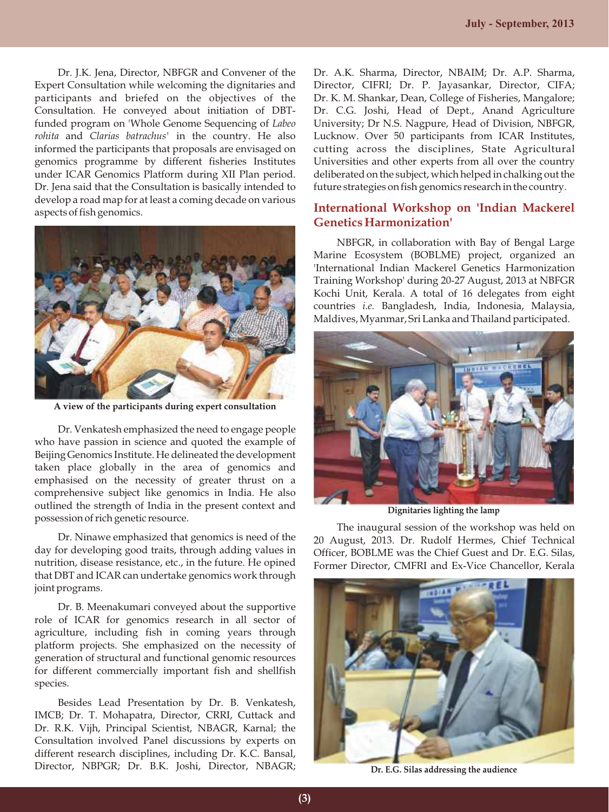Dr. J.K. Jena, Director, NBFGR and Convener of the Expert Consultation while welcoming the dignitaries and participants and briefed on the objectives of the Consultation. He conveyed about initiation of DBTfunded program on 'Whole Genome Sequencing of *Labeo rohita* and *Clarias batrachus'* in the country. He also informed the participants that proposals are envisaged on genomics programme by different fisheries Institutes under ICAR Genomics Platform during XII Plan period. Dr. Jena said that the Consultation is basically intended to develop a road map for at least a coming decade on various aspects of fish genomics.



**A view of the participants during expert consultation**

Dr. Venkatesh emphasized the need to engage people who have passion in science and quoted the example of Beijing Genomics Institute. He delineated the development taken place globally in the area of genomics and emphasised on the necessity of greater thrust on a comprehensive subject like genomics in India. He also outlined the strength of India in the present context and possession of rich genetic resource.

Dr. Ninawe emphasized that genomics is need of the day for developing good traits, through adding values in nutrition, disease resistance, etc., in the future. He opined that DBT and ICAR can undertake genomics work through joint programs.

Dr. B. Meenakumari conveyed about the supportive role of ICAR for genomics research in all sector of agriculture, including fish in coming years through platform projects. She emphasized on the necessity of generation of structural and functional genomic resources for different commercially important fish and shellfish species.

Besides Lead Presentation by Dr. B. Venkatesh, IMCB; Dr. T. Mohapatra, Director, CRRI, Cuttack and Dr. R.K. Vijh, Principal Scientist, NBAGR, Karnal; the Consultation involved Panel discussions by experts on different research disciplines, including Dr. K.C. Bansal, Director, NBPGR; Dr. B.K. Joshi, Director, NBAGR;

Dr. A.K. Sharma, Director, NBAIM; Dr. A.P. Sharma, Director, CIFRI; Dr. P. Jayasankar, Director, CIFA; Dr. K. M. Shankar, Dean, College of Fisheries, Mangalore; Dr. C.G. Joshi, Head of Dept., Anand Agriculture University; Dr N.S. Nagpure, Head of Division, NBFGR, Lucknow. Over 50 participants from ICAR Institutes, cutting across the disciplines, State Agricultural Universities and other experts from all over the country deliberated on the subject, which helped in chalking out the future strategies on fish genomics research in the country.

### **International Workshop on 'Indian Mackerel Genetics Harmonization'**

NBFGR, in collaboration with Bay of Bengal Large Marine Ecosystem (BOBLME) project, organized an 'International Indian Mackerel Genetics Harmonization Training Workshop' during 20-27 August, 2013 at NBFGR Kochi Unit, Kerala. A total of 16 delegates from eight countries *i.e.* Bangladesh, India, Indonesia, Malaysia, Maldives, Myanmar, Sri Lanka and Thailand participated.



**Dignitaries lighting the lamp**

The inaugural session of the workshop was held on 20 August, 2013. Dr. Rudolf Hermes, Chief Technical Officer, BOBLME was the Chief Guest and Dr. E.G. Silas, Former Director, CMFRI and Ex-Vice Chancellor, Kerala



**Dr. E.G. Silas addressing the audience**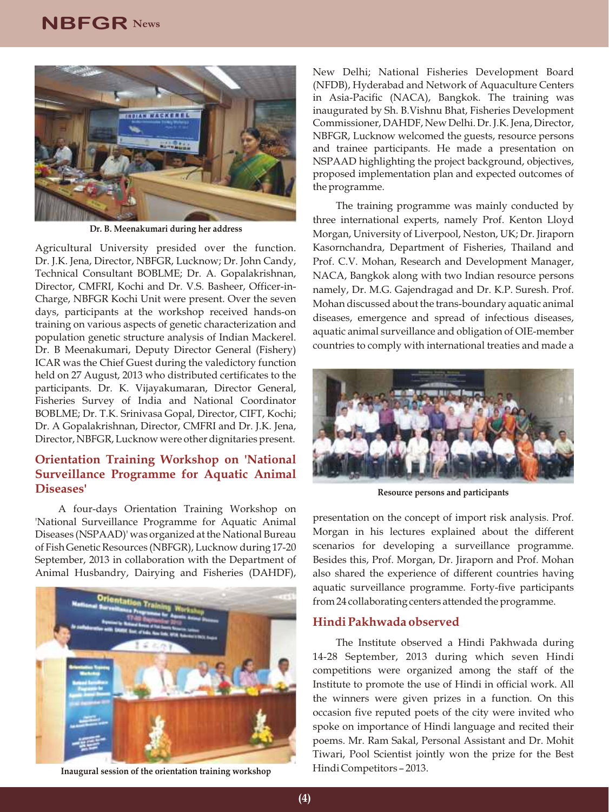## **NBFGR News**



**Dr. B. Meenakumari during her address**

Agricultural University presided over the function. Dr. J.K. Jena, Director, NBFGR, Lucknow; Dr. John Candy, Technical Consultant BOBLME; Dr. A. Gopalakrishnan, Director, CMFRI, Kochi and Dr. V.S. Basheer, Officer-in-Charge, NBFGR Kochi Unit were present. Over the seven days, participants at the workshop received hands-on training on various aspects of genetic characterization and population genetic structure analysis of Indian Mackerel. Dr. B Meenakumari, Deputy Director General (Fishery) ICAR was the Chief Guest during the valedictory function held on 27 August, 2013 who distributed certificates to the participants. Dr. K. Vijayakumaran, Director General, Fisheries Survey of India and National Coordinator BOBLME; Dr. T.K. Srinivasa Gopal, Director, CIFT, Kochi; Dr. A Gopalakrishnan, Director, CMFRI and Dr. J.K. Jena, Director, NBFGR, Lucknow were other dignitaries present.

### **Orientation Training Workshop on 'National Surveillance Programme for Aquatic Animal Diseases'**

A four-days Orientation Training Workshop on 'National Surveillance Programme for Aquatic Animal Diseases (NSPAAD)' was organized at the National Bureau of Fish Genetic Resources (NBFGR), Lucknow during 17-20 September, 2013 in collaboration with the Department of Animal Husbandry, Dairying and Fisheries (DAHDF),



**Inaugural session of the orientation training workshop**

New Delhi; National Fisheries Development Board (NFDB), Hyderabad and Network of Aquaculture Centers in Asia-Pacific (NACA), Bangkok. The training was inaugurated by Sh. B.Vishnu Bhat, Fisheries Development Commissioner, DAHDF, New Delhi. Dr. J.K. Jena, Director, NBFGR, Lucknow welcomed the guests, resource persons and trainee participants. He made a presentation on NSPAAD highlighting the project background, objectives, proposed implementation plan and expected outcomes of the programme.

The training programme was mainly conducted by three international experts, namely Prof. Kenton Lloyd Morgan, University of Liverpool, Neston, UK; Dr. Jiraporn Kasornchandra, Department of Fisheries, Thailand and Prof. C.V. Mohan, Research and Development Manager, NACA, Bangkok along with two Indian resource persons namely, Dr. M.G. Gajendragad and Dr. K.P. Suresh. Prof. Mohan discussed about the trans-boundary aquatic animal diseases, emergence and spread of infectious diseases, aquatic animal surveillance and obligation of OIE-member countries to comply with international treaties and made a



**Resource persons and participants**

presentation on the concept of import risk analysis. Prof. Morgan in his lectures explained about the different scenarios for developing a surveillance programme. Besides this, Prof. Morgan, Dr. Jiraporn and Prof. Mohan also shared the experience of different countries having aquatic surveillance programme. Forty-five participants from 24 collaborating centers attended the programme.

#### **Hindi Pakhwada observed**

The Institute observed a Hindi Pakhwada during 14-28 September, 2013 during which seven Hindi competitions were organized among the staff of the Institute to promote the use of Hindi in official work. All the winners were given prizes in a function. On this occasion five reputed poets of the city were invited who spoke on importance of Hindi language and recited their poems. Mr. Ram Sakal, Personal Assistant and Dr. Mohit Tiwari, Pool Scientist jointly won the prize for the Best Hindi Competitors – 2013.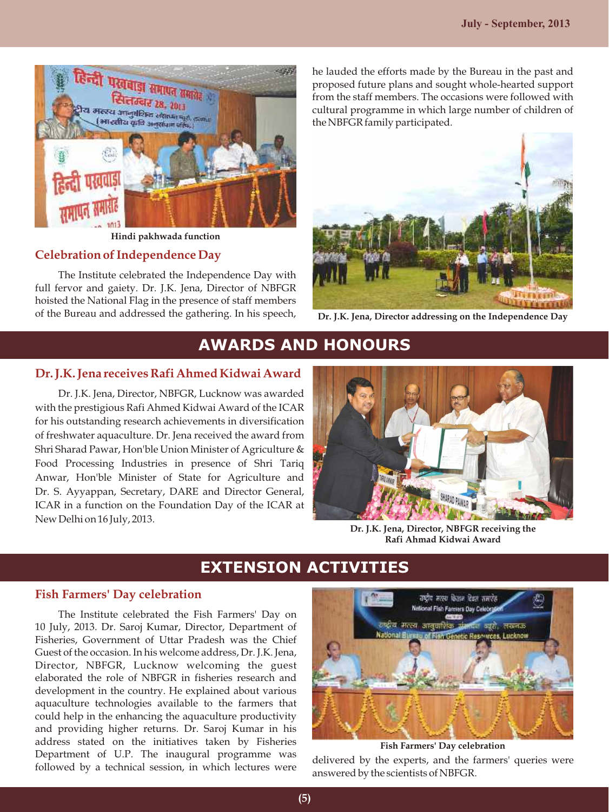

**Hindi pakhwada function**

#### **Celebration of Independence Day**

The Institute celebrated the Independence Day with full fervor and gaiety. Dr. J.K. Jena, Director of NBFGR hoisted the National Flag in the presence of staff members of the Bureau and addressed the gathering. In his speech, he lauded the efforts made by the Bureau in the past and proposed future plans and sought whole-hearted support from the staff members. The occasions were followed with cultural programme in which large number of children of the NBFGR family participated.



**Dr. J.K. Jena, Director addressing on the Independence Day**

## **AWARDS AND HONOURS**

#### **Dr. J.K. Jena receives Rafi Ahmed Kidwai Award**

Dr. J.K. Jena, Director, NBFGR, Lucknow was awarded with the prestigious Rafi Ahmed Kidwai Award of the ICAR for his outstanding research achievements in diversification of freshwater aquaculture. Dr. Jena received the award from Shri Sharad Pawar, Hon'ble Union Minister of Agriculture & Food Processing Industries in presence of Shri Tariq Anwar, Hon'ble Minister of State for Agriculture and Dr. S. Ayyappan, Secretary, DARE and Director General, ICAR in a function on the Foundation Day of the ICAR at New Delhi on 16 July, 2013.



**Dr. J.K. Jena, Director, NBFGR receiving the Rafi Ahmad Kidwai Award** 

## **EXTENSION ACTIVITIES**

#### **Fish Farmers' Day celebration**

The Institute celebrated the Fish Farmers' Day on 10 July, 2013. Dr. Saroj Kumar, Director, Department of Fisheries, Government of Uttar Pradesh was the Chief Guest of the occasion. In his welcome address, Dr. J.K. Jena, Director, NBFGR, Lucknow welcoming the guest elaborated the role of NBFGR in fisheries research and development in the country. He explained about various aquaculture technologies available to the farmers that could help in the enhancing the aquaculture productivity and providing higher returns. Dr. Saroj Kumar in his address stated on the initiatives taken by Fisheries Department of U.P. The inaugural programme was followed by a technical session, in which lectures were



**Fish Farmers' Day celebration**

delivered by the experts, and the farmers' queries were answered by the scientists of NBFGR.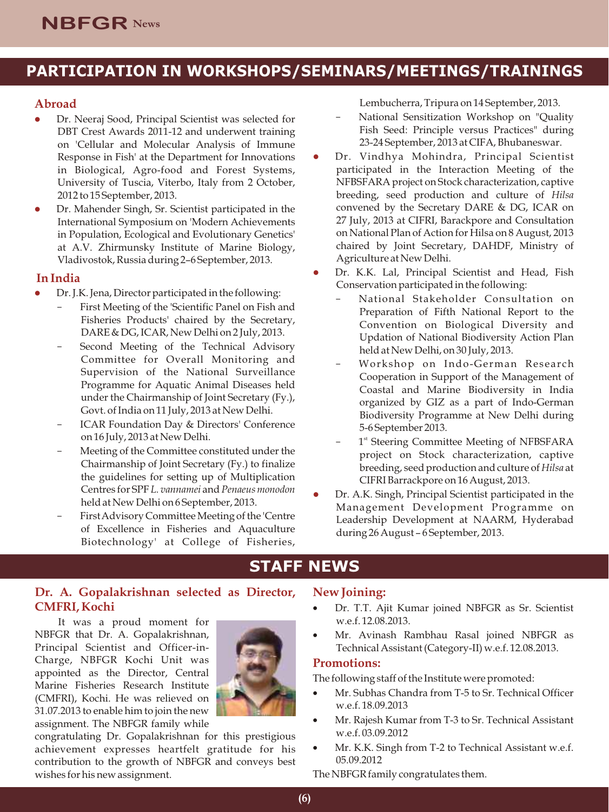# **PARTICIPATION IN WORKSHOPS/SEMINARS/MEETINGS/TRAININGS**

### **Abroad**

- Dr. Neeraj Sood, Principal Scientist was selected for DBT Crest Awards 2011-12 and underwent training on 'Cellular and Molecular Analysis of Immune Response in Fish' at the Department for Innovations in Biological, Agro-food and Forest Systems, University of Tuscia, Viterbo, Italy from 2 October, 2012 to 15 September, 2013.
- Dr. Mahender Singh, Sr. Scientist participated in the International Symposium on 'Modern Achievements in Population, Ecological and Evolutionary Genetics' at A.V. Zhirmunsky Institute of Marine Biology, Vladivostok, Russia during 2–6 September, 2013.

### **In India**

- Dr. J.K. Jena, Director participated in the following:
	- First Meeting of the 'Scientific Panel on Fish and Fisheries Products' chaired by the Secretary, DARE & DG, ICAR, New Delhi on 2 July, 2013.
	- Second Meeting of the Technical Advisory Committee for Overall Monitoring and Supervision of the National Surveillance Programme for Aquatic Animal Diseases held under the Chairmanship of Joint Secretary (Fy.), Govt. of India on 11 July, 2013 at New Delhi.
	- ICAR Foundation Day & Directors' Conference on 16 July, 2013 at New Delhi.
	- Meeting of the Committee constituted under the Chairmanship of Joint Secretary (Fy.) to finalize the guidelines for setting up of Multiplication Centres for SPF *L. vannamei* and *Penaeus monodon*  held at New Delhi on 6 September, 2013.
	- First Advisory Committee Meeting of the 'Centre of Excellence in Fisheries and Aquaculture Biotechnology' at College of Fisheries,

Lembucherra, Tripura on 14 September, 2013.

- National Sensitization Workshop on "Quality Fish Seed: Principle versus Practices" during 23-24 September, 2013 at CIFA, Bhubaneswar.
- Dr. Vindhya Mohindra, Principal Scientist l participated in the Interaction Meeting of the NFBSFARA project on Stock characterization, captive breeding, seed production and culture of *Hilsa* convened by the Secretary DARE & DG, ICAR on 27 July, 2013 at CIFRI, Barackpore and Consultation on National Plan of Action for Hilsa on 8 August, 2013 chaired by Joint Secretary, DAHDF, Ministry of Agriculture at New Delhi.
- Dr. K.K. Lal, Principal Scientist and Head, Fish Conservation participated in the following:
	- National Stakeholder Consultation on Preparation of Fifth National Report to the Convention on Biological Diversity and Updation of National Biodiversity Action Plan held at New Delhi, on 30 July, 2013.
	- Workshop on Indo-German Research Cooperation in Support of the Management of Coastal and Marine Biodiversity in India organized by GIZ as a part of Indo-German Biodiversity Programme at New Delhi during 5-6 September 2013.
	- 1<sup>st</sup> Steering Committee Meeting of NFBSFARA project on Stock characterization, captive breeding, seed production and culture of *Hilsa* at CIFRI Barrackpore on 16 August, 2013.
- Dr. A.K. Singh, Principal Scientist participated in the Management Development Programme on Leadership Development at NAARM, Hyderabad during 26 August – 6 September, 2013.

## **STAFF NEWS**

### **Dr. A. Gopalakrishnan selected as Director, CMFRI, Kochi**

It was a proud moment for NBFGR that Dr. A. Gopalakrishnan, Principal Scientist and Officer-in-Charge, NBFGR Kochi Unit was appointed as the Director, Central Marine Fisheries Research Institute (CMFRI), Kochi. He was relieved on 31.07.2013 to enable him to join the new assignment. The NBFGR family while



congratulating Dr. Gopalakrishnan for this prestigious achievement expresses heartfelt gratitude for his contribution to the growth of NBFGR and conveys best wishes for his new assignment.

### **New Joining:**

- •Dr. T.T. Ajit Kumar joined NBFGR as Sr. Scientist w.e.f. 12.08.2013.
- •Mr. Avinash Rambhau Rasal joined NBFGR as Technical Assistant (Category-II) w.e.f. 12.08.2013.

#### **Promotions:**

The following staff of the Institute were promoted:

- •Mr. Subhas Chandra from T-5 to Sr. Technical Officer w.e.f. 18.09.2013
- •Mr. Rajesh Kumar from T-3 to Sr. Technical Assistant w.e.f. 03.09.2012
- Mr. K.K. Singh from T-2 to Technical Assistant w.e.f. 05.09.2012

The NBFGR family congratulates them.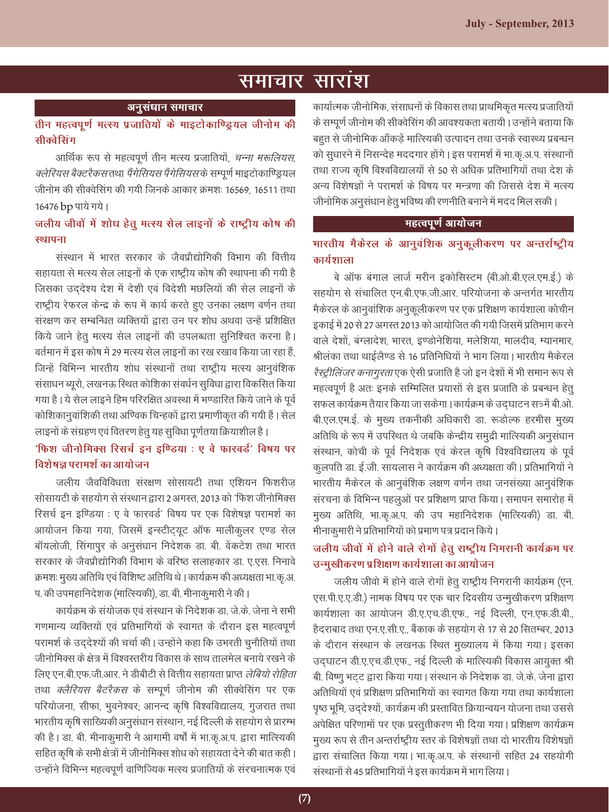## <u>समाचार सारांश</u>

#### *vuqla/kku lekpkj*

*rhu egRoiw.kZ eRL; iztkfr;ksa ds ekbVksdkf.Mª;y thukse dh lhDosflax*

आर्थिक रूप से महत्वपूर्ण तीन मत्स्य प्रजातियों, *चन्ना मरूलियस, क्लेरियस बैक्टरैकस* तथा *पैंगेसियस पैंगेसियस* के सम्पूर्ण माइटोकाण्ड्रियल जीनोम की सीक्वेसिंग की गयी जिनके आकार क्रमशः 16569, 16511 तथा 16476 bp पाये गये।

## *tyh; thoksa esa 'kks/k gsrq eRL; lsy ykbuksa ds jk"Vªh; dks"k dh*  **स्थापना**

संस्थान में भारत सरकार के जैवप्रौद्योगिकी विभाग की वित्तीय सहायता से मत्स्य सेल लाइनों के एक राष्टीय कोष की स्थापना की गयी है जिसका उददेश्य देश में देशी एवं विदेशी मछलियों की सेल लाइनों के राष्ट्रीय रेफरल केन्द्र के रूप में कार्य करते हुए उनका लक्षण वर्णन तथा संरक्षण कर सम्बन्धित व्यक्तियों द्वारा उन पर शोध अथवा उन्हें प्रशिक्षित किये जाने हेतु मत्स्य सेल लाइनों की उपलब्धता सुनिश्चित करना है। वर्तमान में इस कोष में 29 मत्स्य सेल लाइनों का रख रखाव किया जा रहा हैं, जिन्हें विभिन्न भारतीय शोध संस्थानों तथा राष्ट्रीय मत्स्य आनुवंशिक संसाधन ब्यूरो, लखनऊ स्थित कोशिका संवर्धन सुविधा द्वारा विकसित किया गया है। ये सेल लाइने हिम परिरक्षित अवस्था में भण्डारित किये जाने के पूर्व कोशिकानुवांशिकी तथा अण्विक चिन्हकों द्वारा प्रमाणीकृत की गयी हैं । सेल लाइनों के संग्रहण एवं वितरण हेतु यह सुविधा पूर्णतया क्रियाशील है ।

## *'*फिश जीनोमिक्स रिसर्च इन इण्डिया : ए वे फारवर्ड' विषय पर <u>विशेषज्ञ परामर्श का आयोजन</u>

जलीय जैवविविधता संरक्षण सोसायटी तथा एशियन फिशरीज सोसायटी के सहयोग से संस्थान द्वारा 2 अगस्त, 2013 को 'फिश जीनोमिक्स रिसर्च इन इण्डिया : ए वे फारवर्ड' विषय पर एक विशेषज्ञ परामर्श का आयोजन किया गया, जिसमें इन्स्टीट्यूट ऑफ मालीकूलर एण्ड सेल बॉयलोजी, सिंगापुर के अनुसंधान निदेशक डा. बी. वेंकटेश तथा भारत सरकार के जैवप्रौद्योगिकी विभाग के वरिष्ठ सलाहकार डा. ए.एस. निनावे क्रमशः मुख्य अतिथि एवं विशिष्ट अतिथि थे । कार्यक्रम की अध्यक्षता भा.कृ.अ. प. की उपमहानिदेशक (मात्स्यिकी), डा. बी. मीनाकुमारी ने की।

कार्यक्रम के संयोजक एवं संस्थान के निदेशक डा. जे.के. जेना ने सभी गणमान्य व्यक्तियों एवं प्रतिभागियों के स्वागत के दौरान इस महत्वपूर्ण परामर्श के उद्देश्यों की चर्चा की। उन्होंने कहा कि उभरती चुनौतियों तथा जीनोमिक्स के क्षेत्र में विश्वस्तरीय विकास के साथ तालमेल बनाये रखने के <u>लिए एन.बी.एफ.जी.आर. ने डीबीटी से वित्तीय सहायता प्राप्त *लेबियो रोहिता*</u> तथा *क्लैरियस बैटरैकस* के सम्पूर्ण जीनोम की सीक्वेसिंग पर एक परियोजना, सीफा, भुवनेश्वर; आनन्द कृषि विश्वविद्यालय, गुजरात तथा भारतीय कृषि साख्यिकी अनुसंधान संस्थान, नई दिल्ली के सहयोग से प्रारम्भ की है। डा. बी. मीनाकुमारी ने आगामी वर्षों में भा.कृ.अ.प. द्वारा मात्स्यिकी सहित कृषि के सभी क्षेत्रों में जीनोमिक्स शोध को सहायता देने की बात कही। उन्होंने विभिन्न महत्वपूर्ण वाणिज्यिक मत्स्य प्रजातियों के संरचनात्मक एवं

कार्यात्मक जीनोमिक, संसाधनों के विकास तथा प्राथमिकृत मत्स्य प्रजातियों के सम्पूर्ण जीनोम की सीक्वेसिंग की आवश्यकता बतायी । उन्होंने बताया कि बहुत से जीनोमिक आँकड़ें मात्स्यिकी उत्पादन तथा उनके स्वास्थ्य प्रबन्धन को सुधारने में निसन्देह मददगार होंगे। इस परामर्श में भा.कृ.अ.प. संस्थानों तथा राज्य कृषि विश्वविद्यालयों से 50 से अधिक प्रतिभागियों तथा देश के अन्य विशेषज्ञों ने परामर्श के विषय पर मन्त्रणा की जिससे देश में मत्स्य जीनोमिक अनुसंधान हेतू भविष्य की रणनीति बनाने में मदद मिल सकी ।

#### **महत्वपूर्ण आयोजन**

## *Hkkjrh; eSdsjy ds vkuqoaf'kd vuqdwyhdj.k ij vUrjkZ"Vªh; कार्य* शाला

बे ऑफ बंगाल लार्ज मरीन इकोसिस्टम (बी.ओ.बी.एल.एम.ई.) के सहयोग से संचालित एन.बी.एफ.जी.आर. परियोजना के अन्तर्गत भारतीय मैकेरल के आनुवांशिक अनुकूलीकरण पर एक प्रशिक्षण कार्यशाला कोचीन इकाई में 20 से 27 अगस्त 2013 को आयोजित की गयी जिसमें प्रतिभाग करने वाले देशों, बंग्लादेश, भारत, इण्डोनेशिया, मलेशिया, मालदीव, म्यानमार, श्रीलंका तथा थाईलैण्ड से 16 प्रतिनिधियों ने भाग लिया। भारतीय मैकेरल *रैस्ट्रीलिंजर कनागुरता* एक ऐसी प्रजाति है जो इन देशों में भी समान रूप से महत्वपूर्ण है अतः इनके सम्मिलित प्रयासों से इस प्रजाति के प्रबन्धन हेतू सफल कार्यक्रम तैयार किया जा सकेगा । कार्यक्रम के उदघाटन सत्र्में बी.ओ. बी.एल.एम.ई. के मुख्य तकनीकी अधिकारी डा. रूडोल्फ हरमीस मुख्य अतिथि के रूप में उपस्थित थे जबकि केन्द्रीय समुद्री मात्स्यिकी अनुसंधान संस्थान, कोची के पूर्व निदेशक एवं केरल कृषि विश्वविद्यालय के पूर्व कुलपति डा. ई.जी. सायलास ने कार्यक्रम की अध्यक्षता की | प्रतिभागियों ने भारतीय मैकेरल के आनुवंशिक लक्षण वर्णन तथा जनसंख्या आनुवंशिक संरचना के विभिन्न पहलुओं पर प्रशिक्षण प्राप्त किया। समापन समारोह में मुख्य अतिथि, भा.कृ.अ.प. की उप महानिदेशक (मात्स्यिकी) डा. बी. मीनाकुमारी ने प्रतिभागियों को प्रमाण पत्र प्रदान किये ।

## जलीय जीवों में होने वाले रोगों हेतू राष्ट्रीय निगरानी कार्यक्रम पर *उन्मुखीकरण प्रशिक्षण कार्यशाला का* आयोजन

जलीय जीवो में होने वाले रोगों हेतु राष्ट्रीय निगरानी कार्यक्रम (एन. एस.पी.ए.ए.डी.) नामक विषय पर एक चार दिवसीय उन्मुखीकरण प्रशिक्षण कार्यशाला का आयोजन डी.ए.एच.डी.एफ., नई दिल्ली, एन.एफ.डी.बी., हैदराबाद तथा एन.ए.सी.ए.. बैंकाक के सहयोग से 17 से 20 सितम्बर, 2013 के दौरान संस्थान के लखनऊ स्थित मुख्यालय में किया गया। इसका उद्घाटन डी.ए.एच.डी.एफ., नई दिल्ली के मात्स्यिकी विकास आयुक्त श्री बी. विष्णु भटट द्वारा किया गया | संस्थान के निदेशक डा. जे.के. जेना द्वारा अतिथियों एवं प्रशिक्षण प्रतिभागियों का स्वागत किया गया तथा कार्यशाला पृष्ठ भूमि, उद्देश्यों, कार्यक्रम की प्रस्तावित क्रियान्वयन योजना तथा उससे अपेक्षित परिणामों पर एक प्रस्तुतीकरण भी दिया गया। प्रशिक्षण कार्यक्रम मुख्य रूप से तीन अन्तर्राष्ट्रीय स्तर के विशेषज्ञों तथा दो भारतीय विशेषज्ञों द्वारा संचालित किया गया। भा.कृ.अ.प. के संस्थानों सहित 24 सहयोगी संस्थानों से 45 प्रतिभागियों ने इस कार्यक्रम में भाग लिया।